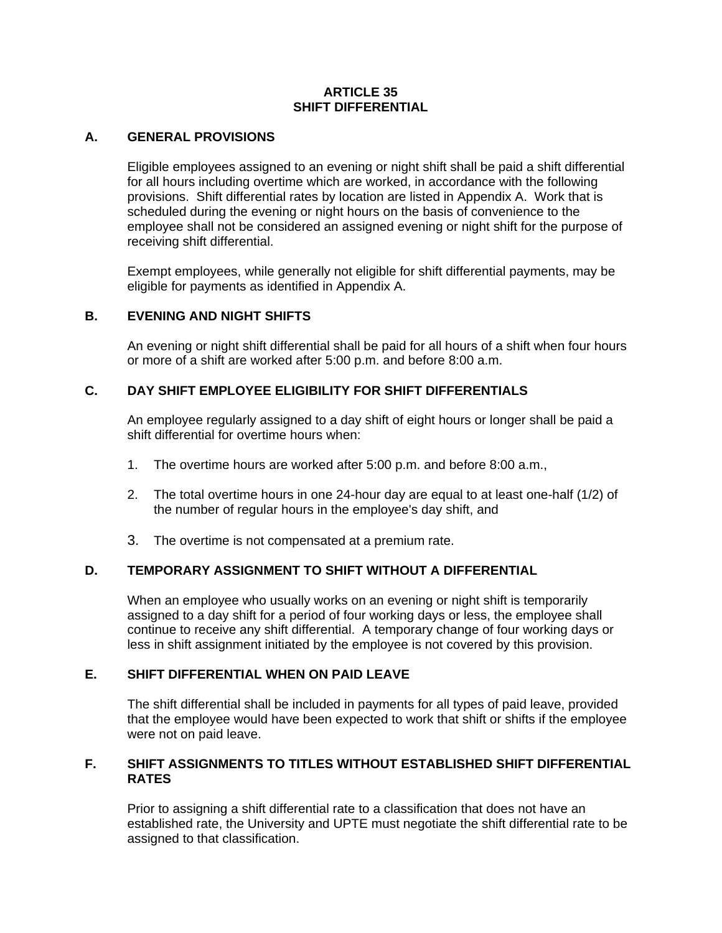#### **ARTICLE 35 SHIFT DIFFERENTIAL**

### **A. GENERAL PROVISIONS**

Eligible employees assigned to an evening or night shift shall be paid a shift differential for all hours including overtime which are worked, in accordance with the following provisions. Shift differential rates by location are listed in Appendix A. Work that is scheduled during the evening or night hours on the basis of convenience to the employee shall not be considered an assigned evening or night shift for the purpose of receiving shift differential.

Exempt employees, while generally not eligible for shift differential payments, may be eligible for payments as identified in Appendix A.

# **B. EVENING AND NIGHT SHIFTS**

An evening or night shift differential shall be paid for all hours of a shift when four hours or more of a shift are worked after 5:00 p.m. and before 8:00 a.m.

## **C. DAY SHIFT EMPLOYEE ELIGIBILITY FOR SHIFT DIFFERENTIALS**

An employee regularly assigned to a day shift of eight hours or longer shall be paid a shift differential for overtime hours when:

- 1. The overtime hours are worked after 5:00 p.m. and before 8:00 a.m.,
- 2. The total overtime hours in one 24-hour day are equal to at least one-half (1/2) of the number of regular hours in the employee's day shift, and
- 3. The overtime is not compensated at a premium rate.

#### **D. TEMPORARY ASSIGNMENT TO SHIFT WITHOUT A DIFFERENTIAL**

When an employee who usually works on an evening or night shift is temporarily assigned to a day shift for a period of four working days or less, the employee shall continue to receive any shift differential. A temporary change of four working days or less in shift assignment initiated by the employee is not covered by this provision.

#### **E. SHIFT DIFFERENTIAL WHEN ON PAID LEAVE**

The shift differential shall be included in payments for all types of paid leave, provided that the employee would have been expected to work that shift or shifts if the employee were not on paid leave.

#### **F. SHIFT ASSIGNMENTS TO TITLES WITHOUT ESTABLISHED SHIFT DIFFERENTIAL RATES**

Prior to assigning a shift differential rate to a classification that does not have an established rate, the University and UPTE must negotiate the shift differential rate to be assigned to that classification.